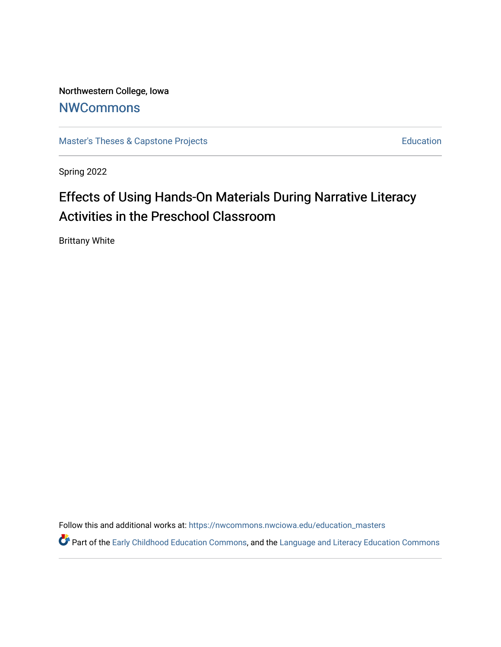Northwestern College, Iowa **[NWCommons](https://nwcommons.nwciowa.edu/)** 

[Master's Theses & Capstone Projects](https://nwcommons.nwciowa.edu/education_masters) **Education** Education

Spring 2022

# Effects of Using Hands-On Materials During Narrative Literacy Activities in the Preschool Classroom

Brittany White

Follow this and additional works at: [https://nwcommons.nwciowa.edu/education\\_masters](https://nwcommons.nwciowa.edu/education_masters?utm_source=nwcommons.nwciowa.edu%2Feducation_masters%2F407&utm_medium=PDF&utm_campaign=PDFCoverPages)

Part of the [Early Childhood Education Commons,](https://network.bepress.com/hgg/discipline/1377?utm_source=nwcommons.nwciowa.edu%2Feducation_masters%2F407&utm_medium=PDF&utm_campaign=PDFCoverPages) and the Language and Literacy Education Commons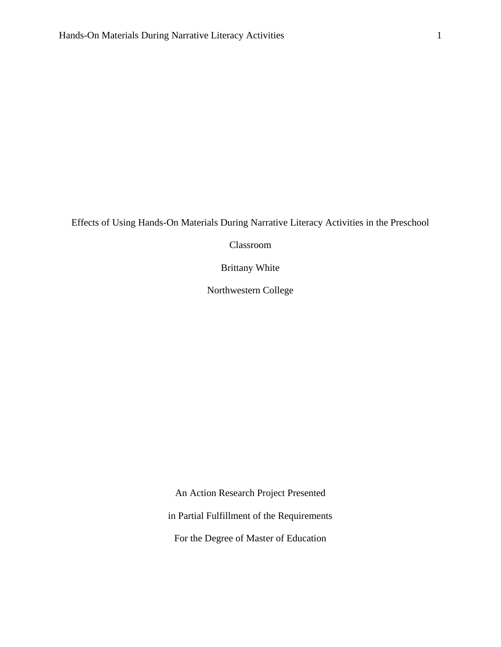Effects of Using Hands-On Materials During Narrative Literacy Activities in the Preschool

Classroom

Brittany White

Northwestern College

An Action Research Project Presented in Partial Fulfillment of the Requirements For the Degree of Master of Education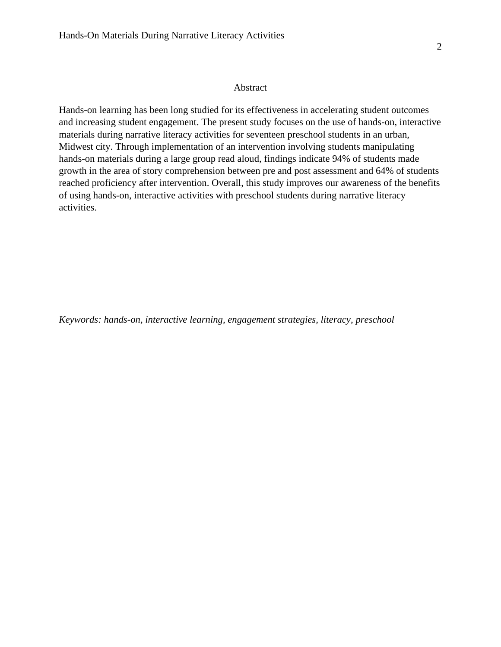#### Abstract

<span id="page-2-0"></span>Hands-on learning has been long studied for its effectiveness in accelerating student outcomes and increasing student engagement. The present study focuses on the use of hands-on, interactive materials during narrative literacy activities for seventeen preschool students in an urban, Midwest city. Through implementation of an intervention involving students manipulating hands-on materials during a large group read aloud, findings indicate 94% of students made growth in the area of story comprehension between pre and post assessment and 64% of students reached proficiency after intervention. Overall, this study improves our awareness of the benefits of using hands-on, interactive activities with preschool students during narrative literacy activities.

*Keywords: hands-on, interactive learning, engagement strategies, literacy, preschool*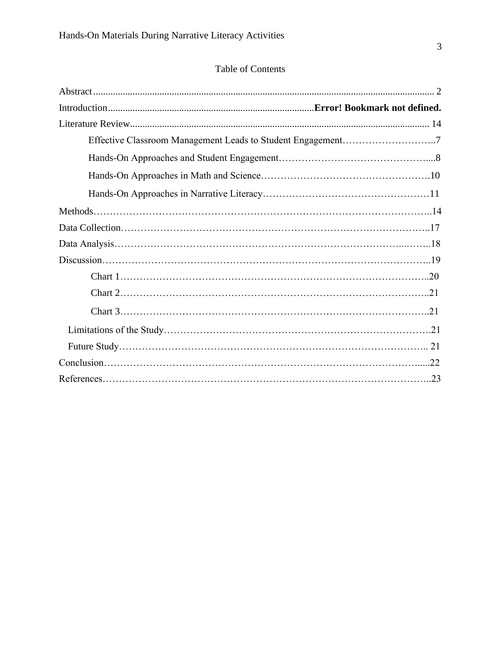# Table of Contents

| Effective Classroom Management Leads to Student Engagement7 |  |
|-------------------------------------------------------------|--|
|                                                             |  |
|                                                             |  |
|                                                             |  |
|                                                             |  |
|                                                             |  |
|                                                             |  |
|                                                             |  |
|                                                             |  |
|                                                             |  |
|                                                             |  |
|                                                             |  |
|                                                             |  |
|                                                             |  |
|                                                             |  |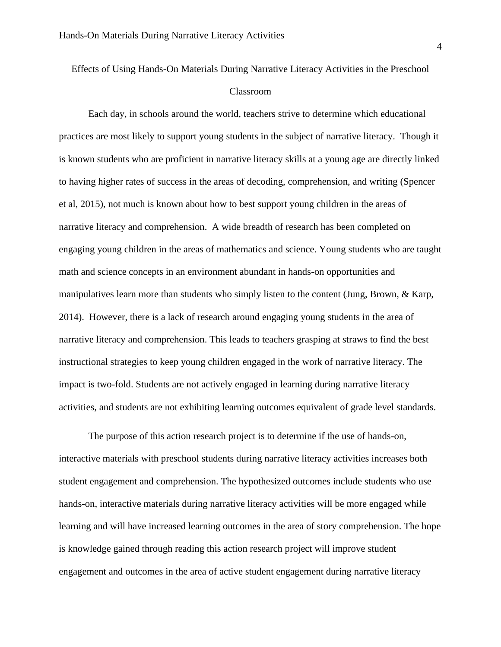# Effects of Using Hands-On Materials During Narrative Literacy Activities in the Preschool Classroom

Each day, in schools around the world, teachers strive to determine which educational practices are most likely to support young students in the subject of narrative literacy. Though it is known students who are proficient in narrative literacy skills at a young age are directly linked to having higher rates of success in the areas of decoding, comprehension, and writing (Spencer et al, 2015), not much is known about how to best support young children in the areas of narrative literacy and comprehension. A wide breadth of research has been completed on engaging young children in the areas of mathematics and science. Young students who are taught math and science concepts in an environment abundant in hands-on opportunities and manipulatives learn more than students who simply listen to the content (Jung, Brown, & Karp, 2014). However, there is a lack of research around engaging young students in the area of narrative literacy and comprehension. This leads to teachers grasping at straws to find the best instructional strategies to keep young children engaged in the work of narrative literacy. The impact is two-fold. Students are not actively engaged in learning during narrative literacy activities, and students are not exhibiting learning outcomes equivalent of grade level standards.

The purpose of this action research project is to determine if the use of hands-on, interactive materials with preschool students during narrative literacy activities increases both student engagement and comprehension. The hypothesized outcomes include students who use hands-on, interactive materials during narrative literacy activities will be more engaged while learning and will have increased learning outcomes in the area of story comprehension. The hope is knowledge gained through reading this action research project will improve student engagement and outcomes in the area of active student engagement during narrative literacy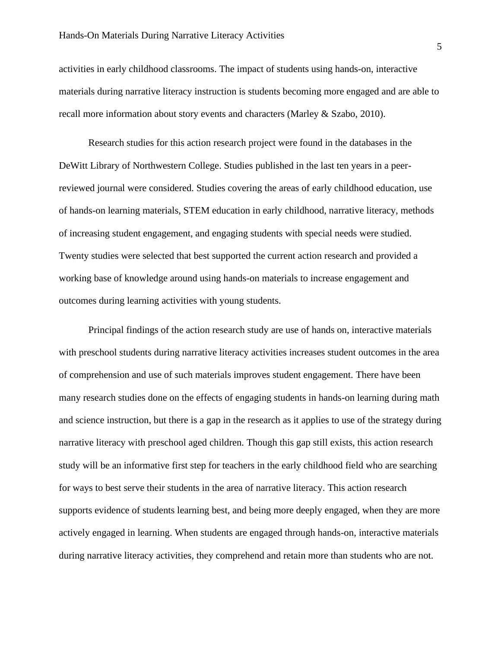activities in early childhood classrooms. The impact of students using hands-on, interactive materials during narrative literacy instruction is students becoming more engaged and are able to recall more information about story events and characters (Marley & Szabo, 2010).

Research studies for this action research project were found in the databases in the DeWitt Library of Northwestern College. Studies published in the last ten years in a peerreviewed journal were considered. Studies covering the areas of early childhood education, use of hands-on learning materials, STEM education in early childhood, narrative literacy, methods of increasing student engagement, and engaging students with special needs were studied. Twenty studies were selected that best supported the current action research and provided a working base of knowledge around using hands-on materials to increase engagement and outcomes during learning activities with young students.

Principal findings of the action research study are use of hands on, interactive materials with preschool students during narrative literacy activities increases student outcomes in the area of comprehension and use of such materials improves student engagement. There have been many research studies done on the effects of engaging students in hands-on learning during math and science instruction, but there is a gap in the research as it applies to use of the strategy during narrative literacy with preschool aged children. Though this gap still exists, this action research study will be an informative first step for teachers in the early childhood field who are searching for ways to best serve their students in the area of narrative literacy. This action research supports evidence of students learning best, and being more deeply engaged, when they are more actively engaged in learning. When students are engaged through hands-on, interactive materials during narrative literacy activities, they comprehend and retain more than students who are not.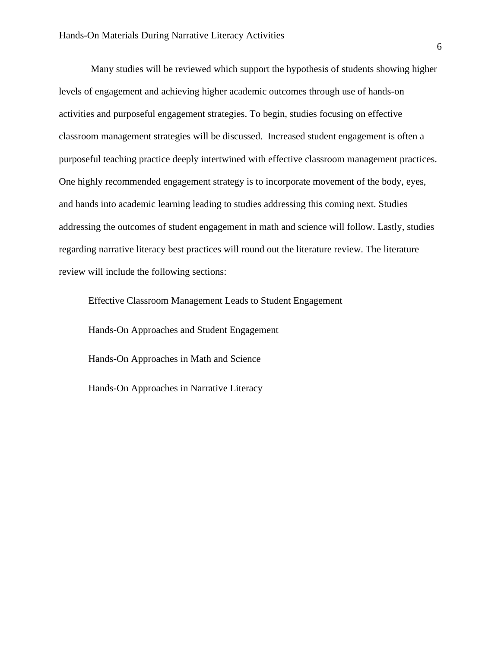Many studies will be reviewed which support the hypothesis of students showing higher levels of engagement and achieving higher academic outcomes through use of hands-on activities and purposeful engagement strategies. To begin, studies focusing on effective classroom management strategies will be discussed. Increased student engagement is often a purposeful teaching practice deeply intertwined with effective classroom management practices. One highly recommended engagement strategy is to incorporate movement of the body, eyes, and hands into academic learning leading to studies addressing this coming next. Studies addressing the outcomes of student engagement in math and science will follow. Lastly, studies regarding narrative literacy best practices will round out the literature review. The literature review will include the following sections:

Effective Classroom Management Leads to Student Engagement Hands-On Approaches and Student Engagement Hands-On Approaches in Math and Science Hands-On Approaches in Narrative Literacy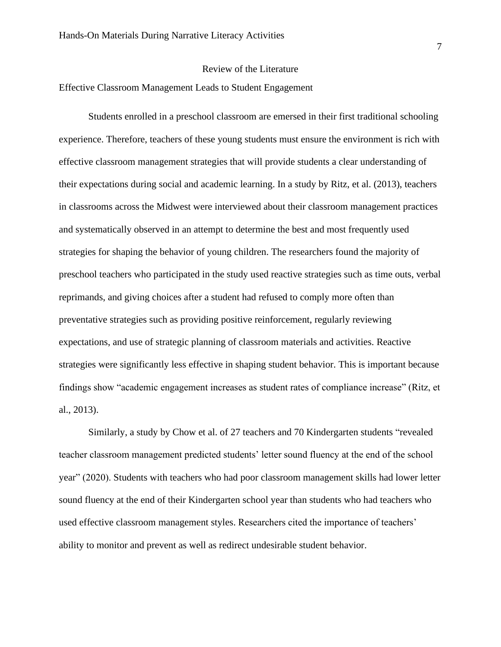#### Review of the Literature

Effective Classroom Management Leads to Student Engagement

Students enrolled in a preschool classroom are emersed in their first traditional schooling experience. Therefore, teachers of these young students must ensure the environment is rich with effective classroom management strategies that will provide students a clear understanding of their expectations during social and academic learning. In a study by Ritz, et al. (2013), teachers in classrooms across the Midwest were interviewed about their classroom management practices and systematically observed in an attempt to determine the best and most frequently used strategies for shaping the behavior of young children. The researchers found the majority of preschool teachers who participated in the study used reactive strategies such as time outs, verbal reprimands, and giving choices after a student had refused to comply more often than preventative strategies such as providing positive reinforcement, regularly reviewing expectations, and use of strategic planning of classroom materials and activities. Reactive strategies were significantly less effective in shaping student behavior. This is important because findings show "academic engagement increases as student rates of compliance increase" (Ritz, et al., 2013).

Similarly, a study by Chow et al. of 27 teachers and 70 Kindergarten students "revealed teacher classroom management predicted students' letter sound fluency at the end of the school year" (2020). Students with teachers who had poor classroom management skills had lower letter sound fluency at the end of their Kindergarten school year than students who had teachers who used effective classroom management styles. Researchers cited the importance of teachers' ability to monitor and prevent as well as redirect undesirable student behavior.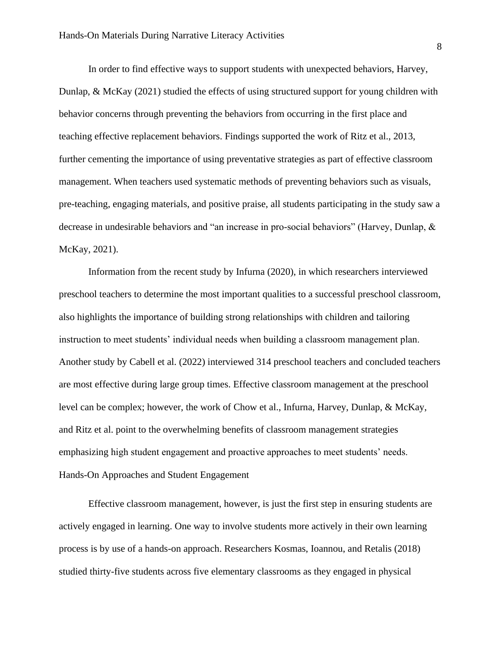In order to find effective ways to support students with unexpected behaviors, Harvey, Dunlap, & McKay (2021) studied the effects of using structured support for young children with behavior concerns through preventing the behaviors from occurring in the first place and teaching effective replacement behaviors. Findings supported the work of Ritz et al., 2013, further cementing the importance of using preventative strategies as part of effective classroom management. When teachers used systematic methods of preventing behaviors such as visuals, pre-teaching, engaging materials, and positive praise, all students participating in the study saw a decrease in undesirable behaviors and "an increase in pro-social behaviors" (Harvey, Dunlap, & McKay, 2021).

Information from the recent study by Infurna (2020), in which researchers interviewed preschool teachers to determine the most important qualities to a successful preschool classroom, also highlights the importance of building strong relationships with children and tailoring instruction to meet students' individual needs when building a classroom management plan. Another study by Cabell et al. (2022) interviewed 314 preschool teachers and concluded teachers are most effective during large group times. Effective classroom management at the preschool level can be complex; however, the work of Chow et al., Infurna, Harvey, Dunlap, & McKay, and Ritz et al. point to the overwhelming benefits of classroom management strategies emphasizing high student engagement and proactive approaches to meet students' needs. Hands-On Approaches and Student Engagement

Effective classroom management, however, is just the first step in ensuring students are actively engaged in learning. One way to involve students more actively in their own learning process is by use of a hands-on approach. Researchers Kosmas, Ioannou, and Retalis (2018) studied thirty-five students across five elementary classrooms as they engaged in physical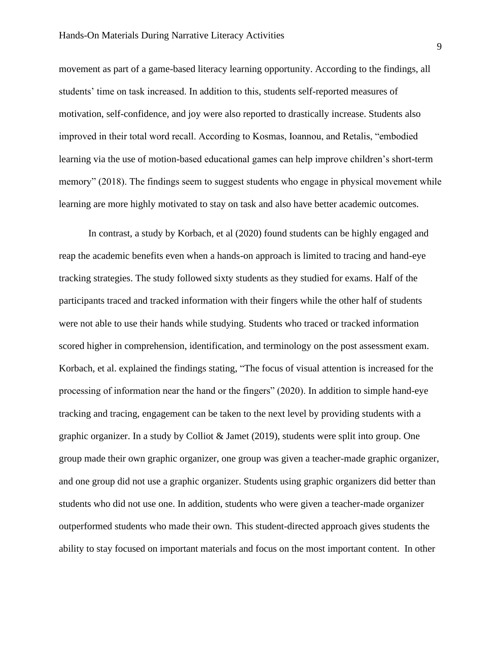movement as part of a game-based literacy learning opportunity. According to the findings, all students' time on task increased. In addition to this, students self-reported measures of motivation, self-confidence, and joy were also reported to drastically increase. Students also improved in their total word recall. According to Kosmas, Ioannou, and Retalis, "embodied learning via the use of motion-based educational games can help improve children's short-term memory" (2018). The findings seem to suggest students who engage in physical movement while learning are more highly motivated to stay on task and also have better academic outcomes.

In contrast, a study by Korbach, et al (2020) found students can be highly engaged and reap the academic benefits even when a hands-on approach is limited to tracing and hand-eye tracking strategies. The study followed sixty students as they studied for exams. Half of the participants traced and tracked information with their fingers while the other half of students were not able to use their hands while studying. Students who traced or tracked information scored higher in comprehension, identification, and terminology on the post assessment exam. Korbach, et al. explained the findings stating, "The focus of visual attention is increased for the processing of information near the hand or the fingers" (2020). In addition to simple hand-eye tracking and tracing, engagement can be taken to the next level by providing students with a graphic organizer. In a study by Colliot & Jamet (2019), students were split into group. One group made their own graphic organizer, one group was given a teacher-made graphic organizer, and one group did not use a graphic organizer. Students using graphic organizers did better than students who did not use one. In addition, students who were given a teacher-made organizer outperformed students who made their own. This student-directed approach gives students the ability to stay focused on important materials and focus on the most important content. In other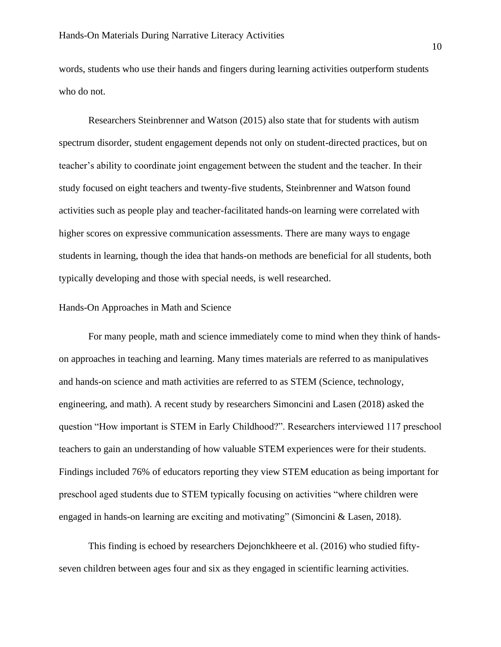words, students who use their hands and fingers during learning activities outperform students who do not.

Researchers Steinbrenner and Watson (2015) also state that for students with autism spectrum disorder, student engagement depends not only on student-directed practices, but on teacher's ability to coordinate joint engagement between the student and the teacher. In their study focused on eight teachers and twenty-five students, Steinbrenner and Watson found activities such as people play and teacher-facilitated hands-on learning were correlated with higher scores on expressive communication assessments. There are many ways to engage students in learning, though the idea that hands-on methods are beneficial for all students, both typically developing and those with special needs, is well researched.

## Hands-On Approaches in Math and Science

For many people, math and science immediately come to mind when they think of handson approaches in teaching and learning. Many times materials are referred to as manipulatives and hands-on science and math activities are referred to as STEM (Science, technology, engineering, and math). A recent study by researchers Simoncini and Lasen (2018) asked the question "How important is STEM in Early Childhood?". Researchers interviewed 117 preschool teachers to gain an understanding of how valuable STEM experiences were for their students. Findings included 76% of educators reporting they view STEM education as being important for preschool aged students due to STEM typically focusing on activities "where children were engaged in hands-on learning are exciting and motivating" (Simoncini & Lasen, 2018).

This finding is echoed by researchers Dejonchkheere et al. (2016) who studied fiftyseven children between ages four and six as they engaged in scientific learning activities.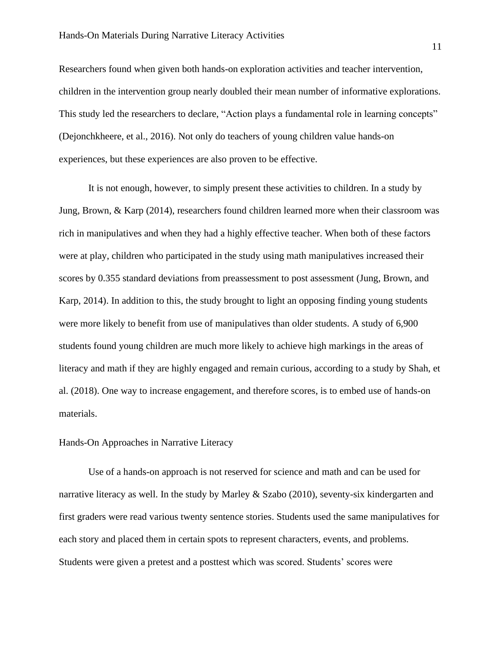Researchers found when given both hands-on exploration activities and teacher intervention, children in the intervention group nearly doubled their mean number of informative explorations. This study led the researchers to declare, "Action plays a fundamental role in learning concepts" (Dejonchkheere, et al., 2016). Not only do teachers of young children value hands-on experiences, but these experiences are also proven to be effective.

It is not enough, however, to simply present these activities to children. In a study by Jung, Brown, & Karp (2014), researchers found children learned more when their classroom was rich in manipulatives and when they had a highly effective teacher. When both of these factors were at play, children who participated in the study using math manipulatives increased their scores by 0.355 standard deviations from preassessment to post assessment (Jung, Brown, and Karp, 2014). In addition to this, the study brought to light an opposing finding young students were more likely to benefit from use of manipulatives than older students. A study of 6,900 students found young children are much more likely to achieve high markings in the areas of literacy and math if they are highly engaged and remain curious, according to a study by Shah, et al. (2018). One way to increase engagement, and therefore scores, is to embed use of hands-on materials.

#### Hands-On Approaches in Narrative Literacy

Use of a hands-on approach is not reserved for science and math and can be used for narrative literacy as well. In the study by Marley & Szabo (2010), seventy-six kindergarten and first graders were read various twenty sentence stories. Students used the same manipulatives for each story and placed them in certain spots to represent characters, events, and problems. Students were given a pretest and a posttest which was scored. Students' scores were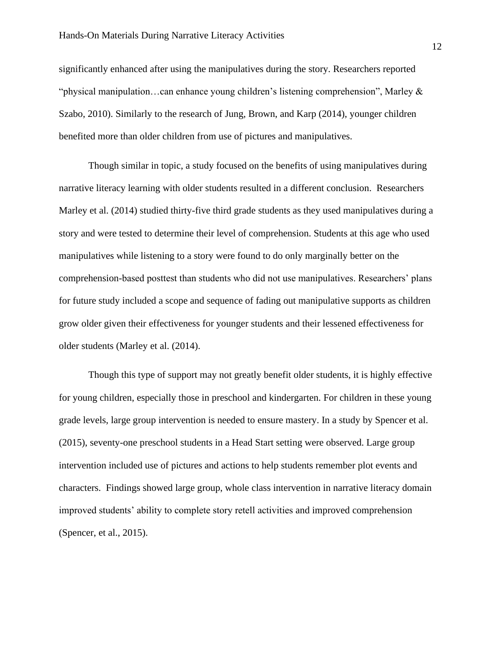significantly enhanced after using the manipulatives during the story. Researchers reported "physical manipulation…can enhance young children's listening comprehension", Marley & Szabo, 2010). Similarly to the research of Jung, Brown, and Karp (2014), younger children benefited more than older children from use of pictures and manipulatives.

Though similar in topic, a study focused on the benefits of using manipulatives during narrative literacy learning with older students resulted in a different conclusion. Researchers Marley et al. (2014) studied thirty-five third grade students as they used manipulatives during a story and were tested to determine their level of comprehension. Students at this age who used manipulatives while listening to a story were found to do only marginally better on the comprehension-based posttest than students who did not use manipulatives. Researchers' plans for future study included a scope and sequence of fading out manipulative supports as children grow older given their effectiveness for younger students and their lessened effectiveness for older students (Marley et al. (2014).

Though this type of support may not greatly benefit older students, it is highly effective for young children, especially those in preschool and kindergarten. For children in these young grade levels, large group intervention is needed to ensure mastery. In a study by Spencer et al. (2015), seventy-one preschool students in a Head Start setting were observed. Large group intervention included use of pictures and actions to help students remember plot events and characters. Findings showed large group, whole class intervention in narrative literacy domain improved students' ability to complete story retell activities and improved comprehension (Spencer, et al., 2015).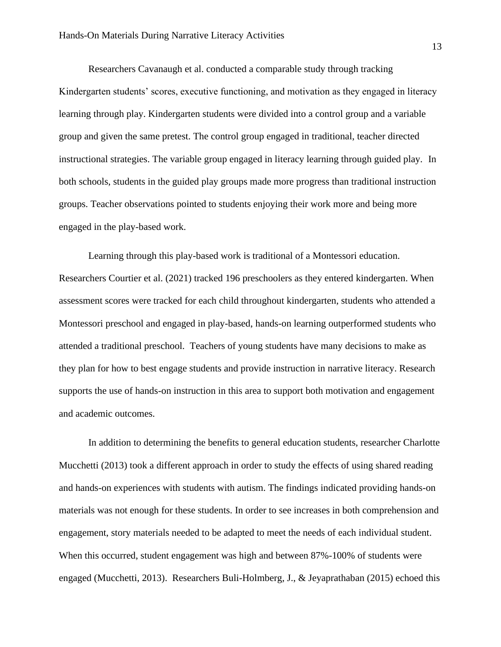Researchers Cavanaugh et al. conducted a comparable study through tracking Kindergarten students' scores, executive functioning, and motivation as they engaged in literacy learning through play. Kindergarten students were divided into a control group and a variable group and given the same pretest. The control group engaged in traditional, teacher directed instructional strategies. The variable group engaged in literacy learning through guided play. In both schools, students in the guided play groups made more progress than traditional instruction groups. Teacher observations pointed to students enjoying their work more and being more engaged in the play-based work.

Learning through this play-based work is traditional of a Montessori education. Researchers Courtier et al. (2021) tracked 196 preschoolers as they entered kindergarten. When assessment scores were tracked for each child throughout kindergarten, students who attended a Montessori preschool and engaged in play-based, hands-on learning outperformed students who attended a traditional preschool. Teachers of young students have many decisions to make as they plan for how to best engage students and provide instruction in narrative literacy. Research supports the use of hands-on instruction in this area to support both motivation and engagement and academic outcomes.

In addition to determining the benefits to general education students, researcher Charlotte Mucchetti (2013) took a different approach in order to study the effects of using shared reading and hands-on experiences with students with autism. The findings indicated providing hands-on materials was not enough for these students. In order to see increases in both comprehension and engagement, story materials needed to be adapted to meet the needs of each individual student. When this occurred, student engagement was high and between 87%-100% of students were engaged (Mucchetti, 2013). Researchers Buli-Holmberg, J., & Jeyaprathaban (2015) echoed this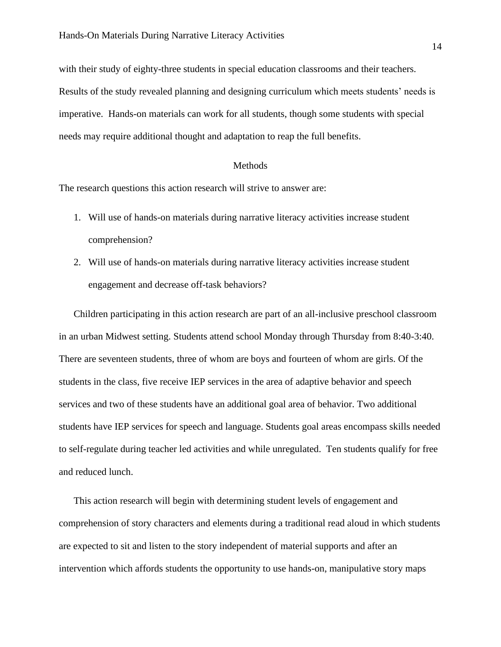with their study of eighty-three students in special education classrooms and their teachers. Results of the study revealed planning and designing curriculum which meets students' needs is imperative. Hands-on materials can work for all students, though some students with special needs may require additional thought and adaptation to reap the full benefits.

#### **Methods**

<span id="page-14-0"></span>The research questions this action research will strive to answer are:

- 1. Will use of hands-on materials during narrative literacy activities increase student comprehension?
- 2. Will use of hands-on materials during narrative literacy activities increase student engagement and decrease off-task behaviors?

Children participating in this action research are part of an all-inclusive preschool classroom in an urban Midwest setting. Students attend school Monday through Thursday from 8:40-3:40. There are seventeen students, three of whom are boys and fourteen of whom are girls. Of the students in the class, five receive IEP services in the area of adaptive behavior and speech services and two of these students have an additional goal area of behavior. Two additional students have IEP services for speech and language. Students goal areas encompass skills needed to self-regulate during teacher led activities and while unregulated. Ten students qualify for free and reduced lunch.

This action research will begin with determining student levels of engagement and comprehension of story characters and elements during a traditional read aloud in which students are expected to sit and listen to the story independent of material supports and after an intervention which affords students the opportunity to use hands-on, manipulative story maps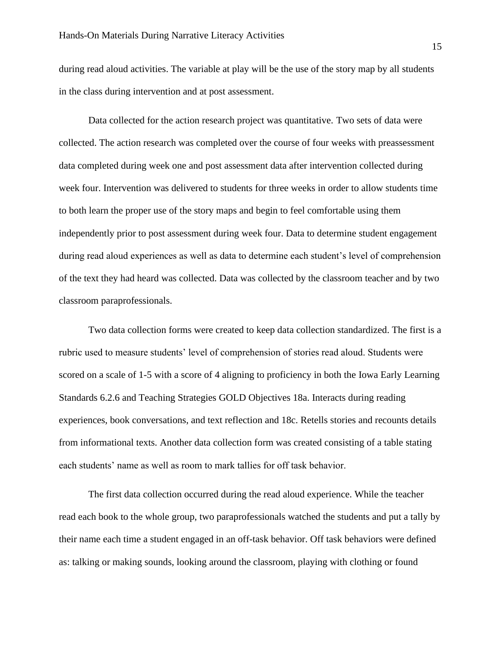during read aloud activities. The variable at play will be the use of the story map by all students in the class during intervention and at post assessment.

Data collected for the action research project was quantitative. Two sets of data were collected. The action research was completed over the course of four weeks with preassessment data completed during week one and post assessment data after intervention collected during week four. Intervention was delivered to students for three weeks in order to allow students time to both learn the proper use of the story maps and begin to feel comfortable using them independently prior to post assessment during week four. Data to determine student engagement during read aloud experiences as well as data to determine each student's level of comprehension of the text they had heard was collected. Data was collected by the classroom teacher and by two classroom paraprofessionals.

Two data collection forms were created to keep data collection standardized. The first is a rubric used to measure students' level of comprehension of stories read aloud. Students were scored on a scale of 1-5 with a score of 4 aligning to proficiency in both the Iowa Early Learning Standards 6.2.6 and Teaching Strategies GOLD Objectives 18a. Interacts during reading experiences, book conversations, and text reflection and 18c. Retells stories and recounts details from informational texts. Another data collection form was created consisting of a table stating each students' name as well as room to mark tallies for off task behavior.

The first data collection occurred during the read aloud experience. While the teacher read each book to the whole group, two paraprofessionals watched the students and put a tally by their name each time a student engaged in an off-task behavior. Off task behaviors were defined as: talking or making sounds, looking around the classroom, playing with clothing or found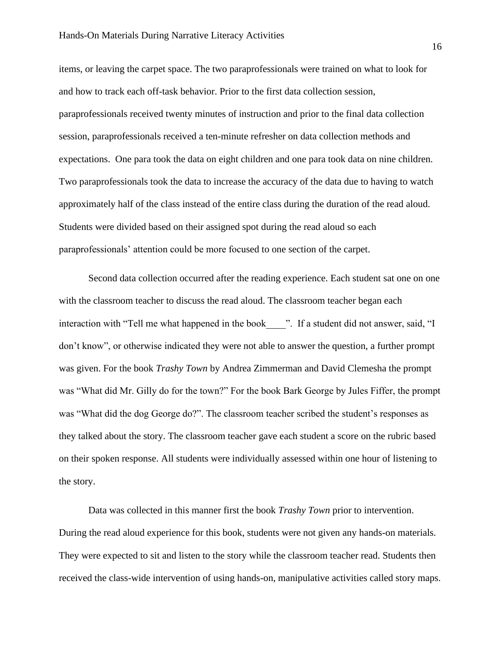items, or leaving the carpet space. The two paraprofessionals were trained on what to look for and how to track each off-task behavior. Prior to the first data collection session, paraprofessionals received twenty minutes of instruction and prior to the final data collection session, paraprofessionals received a ten-minute refresher on data collection methods and expectations. One para took the data on eight children and one para took data on nine children. Two paraprofessionals took the data to increase the accuracy of the data due to having to watch approximately half of the class instead of the entire class during the duration of the read aloud. Students were divided based on their assigned spot during the read aloud so each paraprofessionals' attention could be more focused to one section of the carpet.

Second data collection occurred after the reading experience. Each student sat one on one with the classroom teacher to discuss the read aloud. The classroom teacher began each interaction with "Tell me what happened in the book  $\blacksquare$ ". If a student did not answer, said, "I don't know", or otherwise indicated they were not able to answer the question, a further prompt was given. For the book *Trashy Town* by Andrea Zimmerman and David Clemesha the prompt was "What did Mr. Gilly do for the town?" For the book Bark George by Jules Fiffer, the prompt was "What did the dog George do?". The classroom teacher scribed the student's responses as they talked about the story. The classroom teacher gave each student a score on the rubric based on their spoken response. All students were individually assessed within one hour of listening to the story.

Data was collected in this manner first the book *Trashy Town* prior to intervention. During the read aloud experience for this book, students were not given any hands-on materials. They were expected to sit and listen to the story while the classroom teacher read. Students then received the class-wide intervention of using hands-on, manipulative activities called story maps.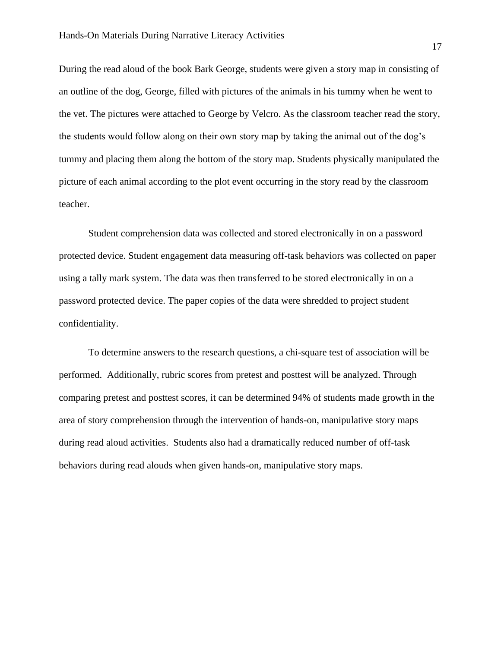During the read aloud of the book Bark George, students were given a story map in consisting of an outline of the dog, George, filled with pictures of the animals in his tummy when he went to the vet. The pictures were attached to George by Velcro. As the classroom teacher read the story, the students would follow along on their own story map by taking the animal out of the dog's tummy and placing them along the bottom of the story map. Students physically manipulated the picture of each animal according to the plot event occurring in the story read by the classroom teacher.

Student comprehension data was collected and stored electronically in on a password protected device. Student engagement data measuring off-task behaviors was collected on paper using a tally mark system. The data was then transferred to be stored electronically in on a password protected device. The paper copies of the data were shredded to project student confidentiality.

To determine answers to the research questions, a chi-square test of association will be performed. Additionally, rubric scores from pretest and posttest will be analyzed. Through comparing pretest and posttest scores, it can be determined 94% of students made growth in the area of story comprehension through the intervention of hands-on, manipulative story maps during read aloud activities. Students also had a dramatically reduced number of off-task behaviors during read alouds when given hands-on, manipulative story maps.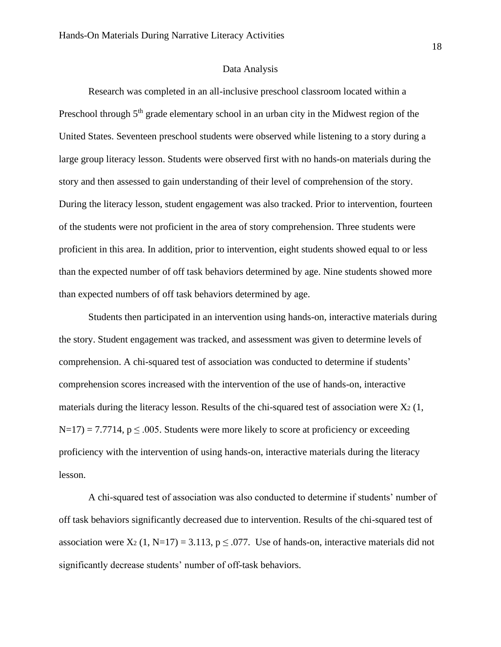#### Data Analysis

Research was completed in an all-inclusive preschool classroom located within a Preschool through 5<sup>th</sup> grade elementary school in an urban city in the Midwest region of the United States. Seventeen preschool students were observed while listening to a story during a large group literacy lesson. Students were observed first with no hands-on materials during the story and then assessed to gain understanding of their level of comprehension of the story. During the literacy lesson, student engagement was also tracked. Prior to intervention, fourteen of the students were not proficient in the area of story comprehension. Three students were proficient in this area. In addition, prior to intervention, eight students showed equal to or less than the expected number of off task behaviors determined by age. Nine students showed more than expected numbers of off task behaviors determined by age.

Students then participated in an intervention using hands-on, interactive materials during the story. Student engagement was tracked, and assessment was given to determine levels of comprehension. A chi-squared test of association was conducted to determine if students' comprehension scores increased with the intervention of the use of hands-on, interactive materials during the literacy lesson. Results of the chi-squared test of association were  $X_2$  (1,  $N=17$ ) = 7.7714, p  $\leq$  0.005. Students were more likely to score at proficiency or exceeding proficiency with the intervention of using hands-on, interactive materials during the literacy lesson.

A chi-squared test of association was also conducted to determine if students' number of off task behaviors significantly decreased due to intervention. Results of the chi-squared test of association were  $X_2$  (1, N=17) = 3.113,  $p \le 0.077$ . Use of hands-on, interactive materials did not significantly decrease students' number of off-task behaviors.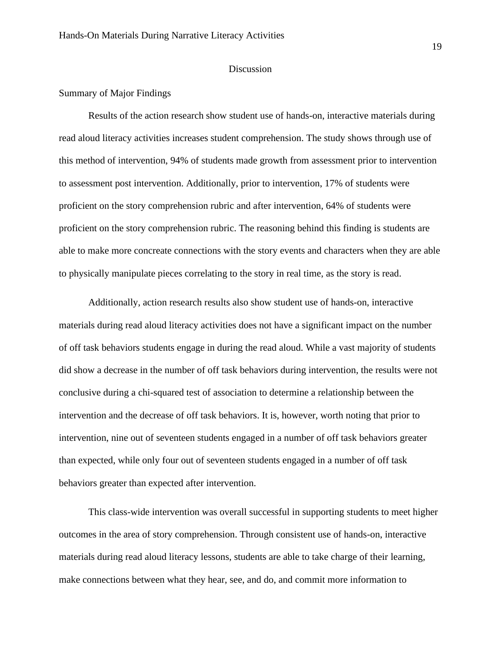#### Discussion

#### <span id="page-19-0"></span>Summary of Major Findings

Results of the action research show student use of hands-on, interactive materials during read aloud literacy activities increases student comprehension. The study shows through use of this method of intervention, 94% of students made growth from assessment prior to intervention to assessment post intervention. Additionally, prior to intervention, 17% of students were proficient on the story comprehension rubric and after intervention, 64% of students were proficient on the story comprehension rubric. The reasoning behind this finding is students are able to make more concreate connections with the story events and characters when they are able to physically manipulate pieces correlating to the story in real time, as the story is read.

Additionally, action research results also show student use of hands-on, interactive materials during read aloud literacy activities does not have a significant impact on the number of off task behaviors students engage in during the read aloud. While a vast majority of students did show a decrease in the number of off task behaviors during intervention, the results were not conclusive during a chi-squared test of association to determine a relationship between the intervention and the decrease of off task behaviors. It is, however, worth noting that prior to intervention, nine out of seventeen students engaged in a number of off task behaviors greater than expected, while only four out of seventeen students engaged in a number of off task behaviors greater than expected after intervention.

This class-wide intervention was overall successful in supporting students to meet higher outcomes in the area of story comprehension. Through consistent use of hands-on, interactive materials during read aloud literacy lessons, students are able to take charge of their learning, make connections between what they hear, see, and do, and commit more information to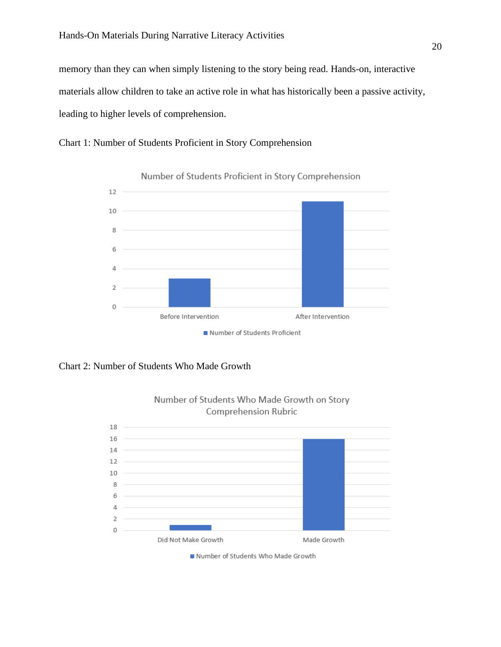memory than they can when simply listening to the story being read. Hands-on, interactive materials allow children to take an active role in what has historically been a passive activity, leading to higher levels of comprehension.





Number of Students Proficient in Story Comprehension

Chart 2: Number of Students Who Made Growth



Number of Students Who Made Growth on Story

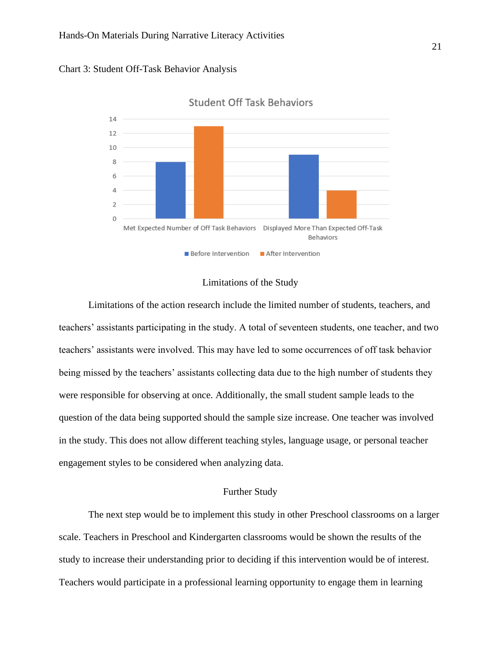



**Student Off Task Behaviors** 

### Limitations of the Study

<span id="page-21-0"></span>Limitations of the action research include the limited number of students, teachers, and teachers' assistants participating in the study. A total of seventeen students, one teacher, and two teachers' assistants were involved. This may have led to some occurrences of off task behavior being missed by the teachers' assistants collecting data due to the high number of students they were responsible for observing at once. Additionally, the small student sample leads to the question of the data being supported should the sample size increase. One teacher was involved in the study. This does not allow different teaching styles, language usage, or personal teacher engagement styles to be considered when analyzing data.

#### Further Study

<span id="page-21-1"></span>The next step would be to implement this study in other Preschool classrooms on a larger scale. Teachers in Preschool and Kindergarten classrooms would be shown the results of the study to increase their understanding prior to deciding if this intervention would be of interest. Teachers would participate in a professional learning opportunity to engage them in learning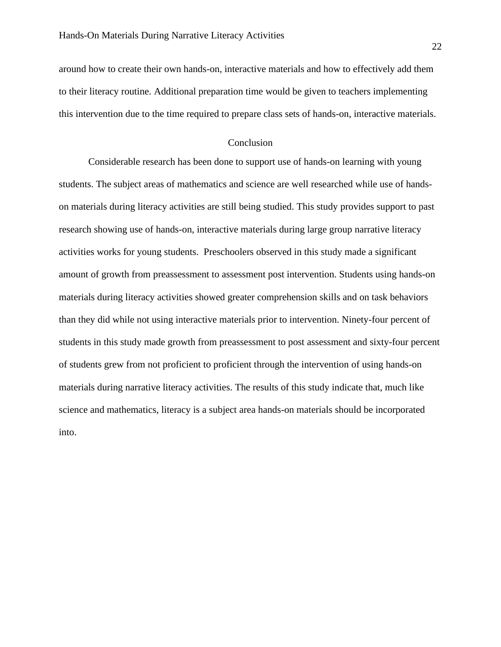around how to create their own hands-on, interactive materials and how to effectively add them to their literacy routine. Additional preparation time would be given to teachers implementing this intervention due to the time required to prepare class sets of hands-on, interactive materials.

### Conclusion

Considerable research has been done to support use of hands-on learning with young students. The subject areas of mathematics and science are well researched while use of handson materials during literacy activities are still being studied. This study provides support to past research showing use of hands-on, interactive materials during large group narrative literacy activities works for young students. Preschoolers observed in this study made a significant amount of growth from preassessment to assessment post intervention. Students using hands-on materials during literacy activities showed greater comprehension skills and on task behaviors than they did while not using interactive materials prior to intervention. Ninety-four percent of students in this study made growth from preassessment to post assessment and sixty-four percent of students grew from not proficient to proficient through the intervention of using hands-on materials during narrative literacy activities. The results of this study indicate that, much like science and mathematics, literacy is a subject area hands-on materials should be incorporated into.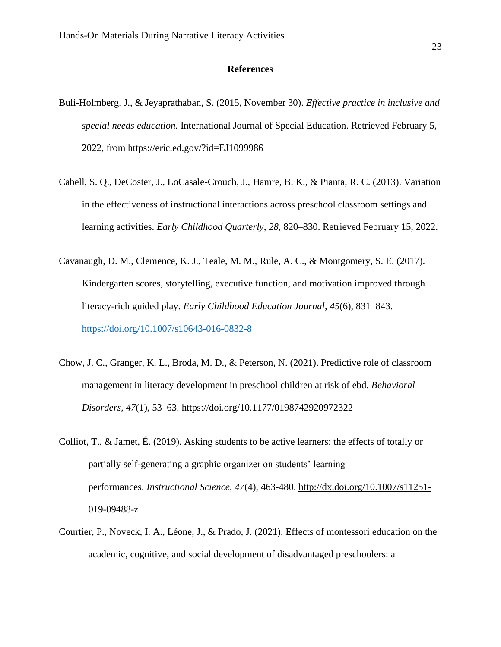#### **References**

- Buli-Holmberg, J., & Jeyaprathaban, S. (2015, November 30). *Effective practice in inclusive and special needs education.* International Journal of Special Education. Retrieved February 5, 2022, from https://eric.ed.gov/?id=EJ1099986
- Cabell, S. Q., DeCoster, J., LoCasale-Crouch, J., Hamre, B. K., & Pianta, R. C. (2013). Variation in the effectiveness of instructional interactions across preschool classroom settings and learning activities. *Early Childhood Quarterly*, *28*, 820–830. Retrieved February 15, 2022.
- Cavanaugh, D. M., Clemence, K. J., Teale, M. M., Rule, A. C., & Montgomery, S. E. (2017). Kindergarten scores, storytelling, executive function, and motivation improved through literacy-rich guided play. *Early Childhood Education Journal*, *45*(6), 831–843. <https://doi.org/10.1007/s10643-016-0832-8>
- Chow, J. C., Granger, K. L., Broda, M. D., & Peterson, N. (2021). Predictive role of classroom management in literacy development in preschool children at risk of ebd. *Behavioral Disorders*, *47*(1), 53–63. https://doi.org/10.1177/0198742920972322
- Colliot, T., & Jamet, É. (2019). Asking students to be active learners: the effects of totally or partially self-generating a graphic organizer on students' learning performances. *Instructional Science, 47*(4), 463-480. [http://dx.doi.org/10.1007/s11251-](http://dx.doi.org/10.1007/s11251-019-09488-z) [019-09488-z](http://dx.doi.org/10.1007/s11251-019-09488-z)
- Courtier, P., Noveck, I. A., Léone, J., & Prado, J. (2021). Effects of montessori education on the academic, cognitive, and social development of disadvantaged preschoolers: a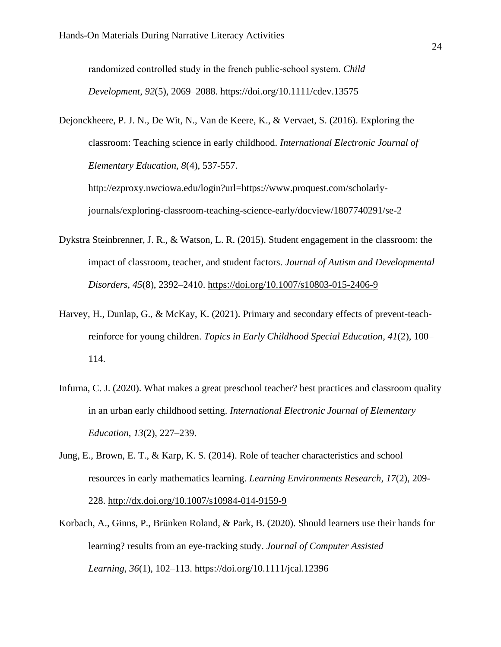randomized controlled study in the french public‐school system. *Child Development*, *92*(5), 2069–2088. https://doi.org/10.1111/cdev.13575

Dejonckheere, P. J. N., De Wit, N., Van de Keere, K., & Vervaet, S. (2016). Exploring the classroom: Teaching science in early childhood. *International Electronic Journal of Elementary Education, 8*(4), 537-557.

http://ezproxy.nwciowa.edu/login?url=https://www.proquest.com/scholarlyjournals/exploring-classroom-teaching-science-early/docview/1807740291/se-2

- Dykstra Steinbrenner, J. R., & Watson, L. R. (2015). Student engagement in the classroom: the impact of classroom, teacher, and student factors. *Journal of Autism and Developmental Disorders*, *45*(8), 2392–2410.<https://doi.org/10.1007/s10803-015-2406-9>
- Harvey, H., Dunlap, G., & McKay, K. (2021). Primary and secondary effects of prevent-teachreinforce for young children. *Topics in Early Childhood Special Education*, *41*(2), 100– 114.
- Infurna, C. J. (2020). What makes a great preschool teacher? best practices and classroom quality in an urban early childhood setting. *International Electronic Journal of Elementary Education*, *13*(2), 227–239.
- Jung, E., Brown, E. T., & Karp, K. S. (2014). Role of teacher characteristics and school resources in early mathematics learning. *Learning Environments Research, 17*(2), 209- 228.<http://dx.doi.org/10.1007/s10984-014-9159-9>
- Korbach, A., Ginns, P., Brünken Roland, & Park, B. (2020). Should learners use their hands for learning? results from an eye-tracking study. *Journal of Computer Assisted Learning*, *36*(1), 102–113. https://doi.org/10.1111/jcal.12396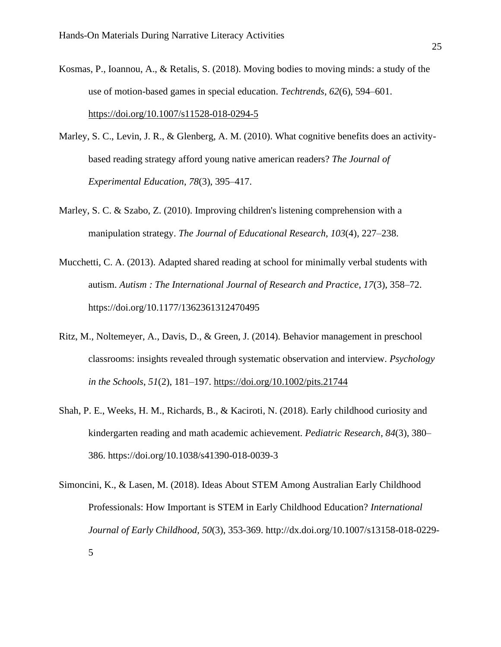- Kosmas, P., Ioannou, A., & Retalis, S. (2018). Moving bodies to moving minds: a study of the use of motion-based games in special education. *Techtrends*, *62*(6), 594–601. <https://doi.org/10.1007/s11528-018-0294-5>
- Marley, S. C., Levin, J. R., & Glenberg, A. M. (2010). What cognitive benefits does an activitybased reading strategy afford young native american readers? *The Journal of Experimental Education*, *78*(3), 395–417.
- Marley, S. C. & Szabo, Z. (2010). Improving children's listening comprehension with a manipulation strategy. *The Journal of Educational Research*, *103*(4), 227–238.
- Mucchetti, C. A. (2013). Adapted shared reading at school for minimally verbal students with autism. *Autism : The International Journal of Research and Practice*, *17*(3), 358–72. https://doi.org/10.1177/1362361312470495
- Ritz, M., Noltemeyer, A., Davis, D., & Green, J. (2014). Behavior management in preschool classrooms: insights revealed through systematic observation and interview. *Psychology in the Schools*, *51*(2), 181–197.<https://doi.org/10.1002/pits.21744>
- Shah, P. E., Weeks, H. M., Richards, B., & Kaciroti, N. (2018). Early childhood curiosity and kindergarten reading and math academic achievement. *Pediatric Research*, *84*(3), 380– 386. https://doi.org/10.1038/s41390-018-0039-3
- Simoncini, K., & Lasen, M. (2018). Ideas About STEM Among Australian Early Childhood Professionals: How Important is STEM in Early Childhood Education? *International Journal of Early Childhood, 50*(3), 353-369. http://dx.doi.org/10.1007/s13158-018-0229- 5